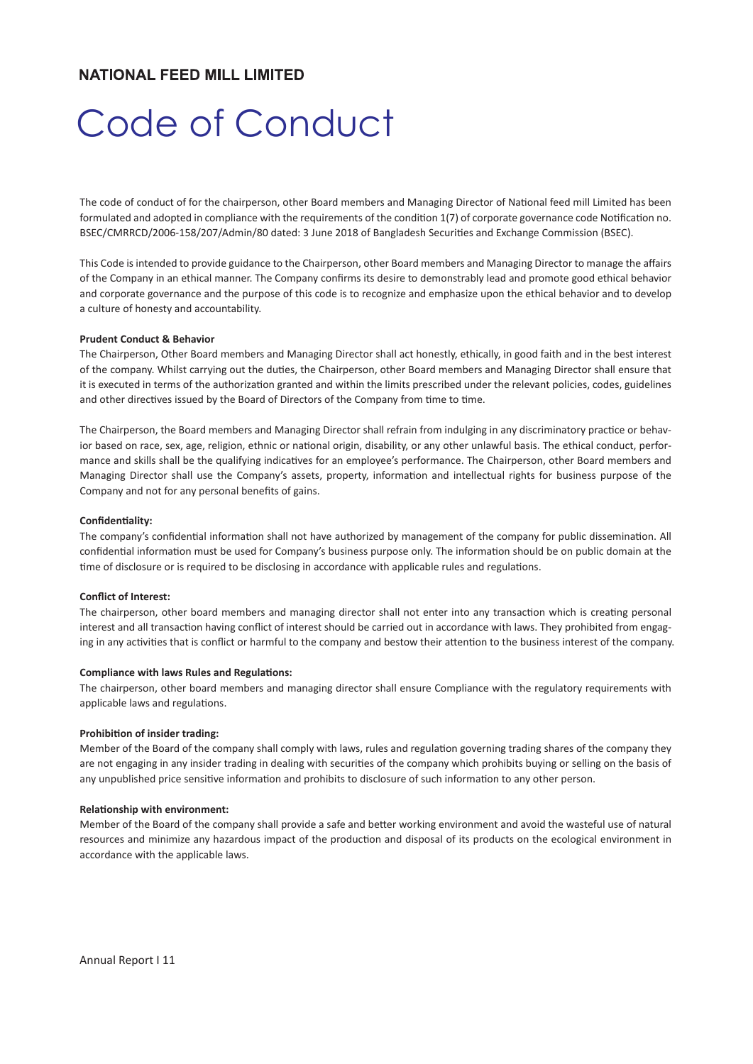# **NATIONAL FEED MILL LIMITED**

# Code of Conduct

The code of conduct of for the chairperson, other Board members and Managing Director of National feed mill Limited has been formulated and adopted in compliance with the requirements of the condition 1(7) of corporate governance code Notification no. BSEC/CMRRCD/2006-158/207/Admin/80 dated: 3 June 2018 of Bangladesh Securities and Exchange Commission (BSEC).

This Code is intended to provide guidance to the Chairperson, other Board members and Managing Director to manage the affairs of the Company in an ethical manner. The Company confirms its desire to demonstrably lead and promote good ethical behavior and corporate governance and the purpose of this code is to recognize and emphasize upon the ethical behavior and to develop a culture of honesty and accountability.

#### **Prudent Conduct & Behavior**

The Chairperson, Other Board members and Managing Director shall act honestly, ethically, in good faith and in the best interest of the company. Whilst carrying out the duties, the Chairperson, other Board members and Managing Director shall ensure that it is executed in terms of the authorization granted and within the limits prescribed under the relevant policies, codes, guidelines and other directives issued by the Board of Directors of the Company from time to time.

The Chairperson, the Board members and Managing Director shall refrain from indulging in any discriminatory practice or behavior based on race, sex, age, religion, ethnic or national origin, disability, or any other unlawful basis. The ethical conduct, performance and skills shall be the qualifying indicatives for an employee's performance. The Chairperson, other Board members and Managing Director shall use the Company's assets, property, information and intellectual rights for business purpose of the Company and not for any personal benefits of gains.

#### Confidentiality:

The company's confidential information shall not have authorized by management of the company for public dissemination. All confidential information must be used for Company's business purpose only. The information should be on public domain at the time of disclosure or is required to be disclosing in accordance with applicable rules and regulations.

#### **Conflict of Interest:**

The chairperson, other board members and managing director shall not enter into any transaction which is creating personal interest and all transaction having conflict of interest should be carried out in accordance with laws. They prohibited from engaging in any activities that is conflict or harmful to the company and bestow their attention to the business interest of the company.

#### **Compliance with laws Rules and Regulations:**

The chairperson, other board members and managing director shall ensure Compliance with the regulatory requirements with applicable laws and regulations.

#### **Prohibition of insider trading:**

Member of the Board of the company shall comply with laws, rules and regulation governing trading shares of the company they are not engaging in any insider trading in dealing with securities of the company which prohibits buying or selling on the basis of any unpublished price sensitive information and prohibits to disclosure of such information to any other person.

## **Relationship with environment:**

Member of the Board of the company shall provide a safe and better working environment and avoid the wasteful use of natural resources and minimize any hazardous impact of the production and disposal of its products on the ecological environment in accordance with the applicable laws.